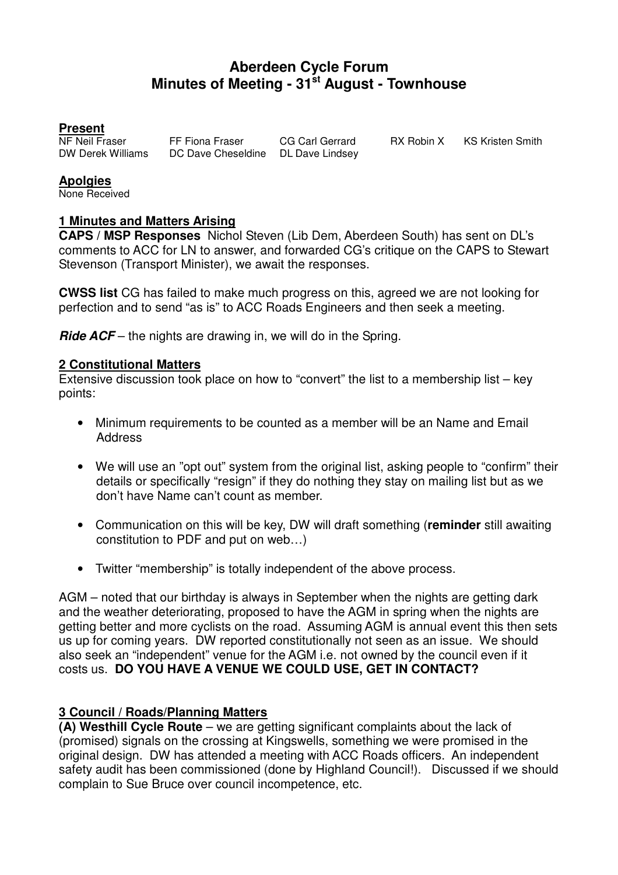# **Aberdeen Cycle Forum Minutes of Meeting - 31st August - Townhouse**

#### **Present**

NF Neil Fraser FF Fiona Fraser CG Carl Gerrard RX Robin X KS Kristen Smith<br>DW Derek Williams DC Dave Cheseldine DL Dave Lindsev DC Dave Cheseldine DL Dave Lindsey

# **Apolgies**

None Received

#### **1 Minutes and Matters Arising**

**CAPS / MSP Responses** Nichol Steven (Lib Dem, Aberdeen South) has sent on DL's comments to ACC for LN to answer, and forwarded CG's critique on the CAPS to Stewart Stevenson (Transport Minister), we await the responses.

**CWSS list** CG has failed to make much progress on this, agreed we are not looking for perfection and to send "as is" to ACC Roads Engineers and then seek a meeting.

**Ride ACF** – the nights are drawing in, we will do in the Spring.

#### **2 Constitutional Matters**

Extensive discussion took place on how to "convert" the list to a membership list – key points:

- Minimum requirements to be counted as a member will be an Name and Email Address
- We will use an "opt out" system from the original list, asking people to "confirm" their details or specifically "resign" if they do nothing they stay on mailing list but as we don't have Name can't count as member.
- Communication on this will be key, DW will draft something (**reminder** still awaiting constitution to PDF and put on web…)
- Twitter "membership" is totally independent of the above process.

AGM – noted that our birthday is always in September when the nights are getting dark and the weather deteriorating, proposed to have the AGM in spring when the nights are getting better and more cyclists on the road. Assuming AGM is annual event this then sets us up for coming years. DW reported constitutionally not seen as an issue. We should also seek an "independent" venue for the AGM i.e. not owned by the council even if it costs us. **DO YOU HAVE A VENUE WE COULD USE, GET IN CONTACT?**

# **3 Council / Roads/Planning Matters**

**(A) Westhill Cycle Route** – we are getting significant complaints about the lack of (promised) signals on the crossing at Kingswells, something we were promised in the original design. DW has attended a meeting with ACC Roads officers. An independent safety audit has been commissioned (done by Highland Council!). Discussed if we should complain to Sue Bruce over council incompetence, etc.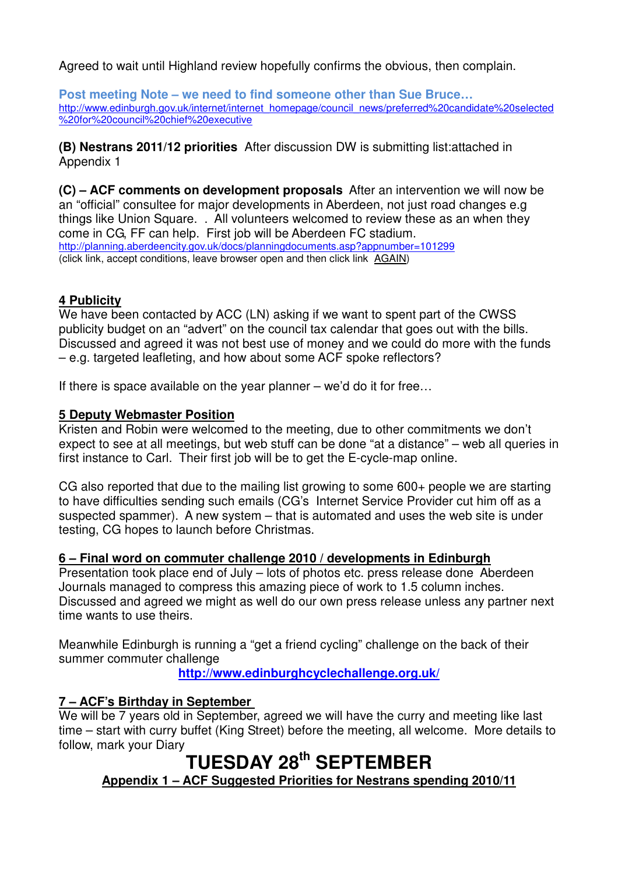Agreed to wait until Highland review hopefully confirms the obvious, then complain.

**Post meeting Note – we need to find someone other than Sue Bruce…** http://www.edinburgh.gov.uk/internet/internet\_homepage/council\_news/preferred%20candidate%20selected %20for%20council%20chief%20executive

**(B) Nestrans 2011/12 priorities** After discussion DW is submitting list:attached in Appendix 1

**(C) – ACF comments on development proposals** After an intervention we will now be an "official" consultee for major developments in Aberdeen, not just road changes e.g things like Union Square. . All volunteers welcomed to review these as an when they come in CG, FF can help. First job will be Aberdeen FC stadium. http://planning.aberdeencity.gov.uk/docs/planningdocuments.asp?appnumber=101299 (click link, accept conditions, leave browser open and then click link AGAIN)

#### **4 Publicity**

We have been contacted by ACC (LN) asking if we want to spent part of the CWSS publicity budget on an "advert" on the council tax calendar that goes out with the bills. Discussed and agreed it was not best use of money and we could do more with the funds – e.g. targeted leafleting, and how about some ACF spoke reflectors?

If there is space available on the year planner – we'd do it for free…

#### **5 Deputy Webmaster Position**

Kristen and Robin were welcomed to the meeting, due to other commitments we don't expect to see at all meetings, but web stuff can be done "at a distance" – web all queries in first instance to Carl. Their first job will be to get the E-cycle-map online.

CG also reported that due to the mailing list growing to some 600+ people we are starting to have difficulties sending such emails (CG's Internet Service Provider cut him off as a suspected spammer). A new system – that is automated and uses the web site is under testing, CG hopes to launch before Christmas.

# **6 – Final word on commuter challenge 2010 / developments in Edinburgh**

Presentation took place end of July – lots of photos etc. press release done Aberdeen Journals managed to compress this amazing piece of work to 1.5 column inches. Discussed and agreed we might as well do our own press release unless any partner next time wants to use theirs.

Meanwhile Edinburgh is running a "get a friend cycling" challenge on the back of their summer commuter challenge

**http://www.edinburghcyclechallenge.org.uk/**

# **7 – ACF's Birthday in September**

We will be 7 years old in September, agreed we will have the curry and meeting like last time – start with curry buffet (King Street) before the meeting, all welcome. More details to follow, mark your Diary

# **TUESDAY 28th SEPTEMBER**

**Appendix 1 – ACF Suggested Priorities for Nestrans spending 2010/11**